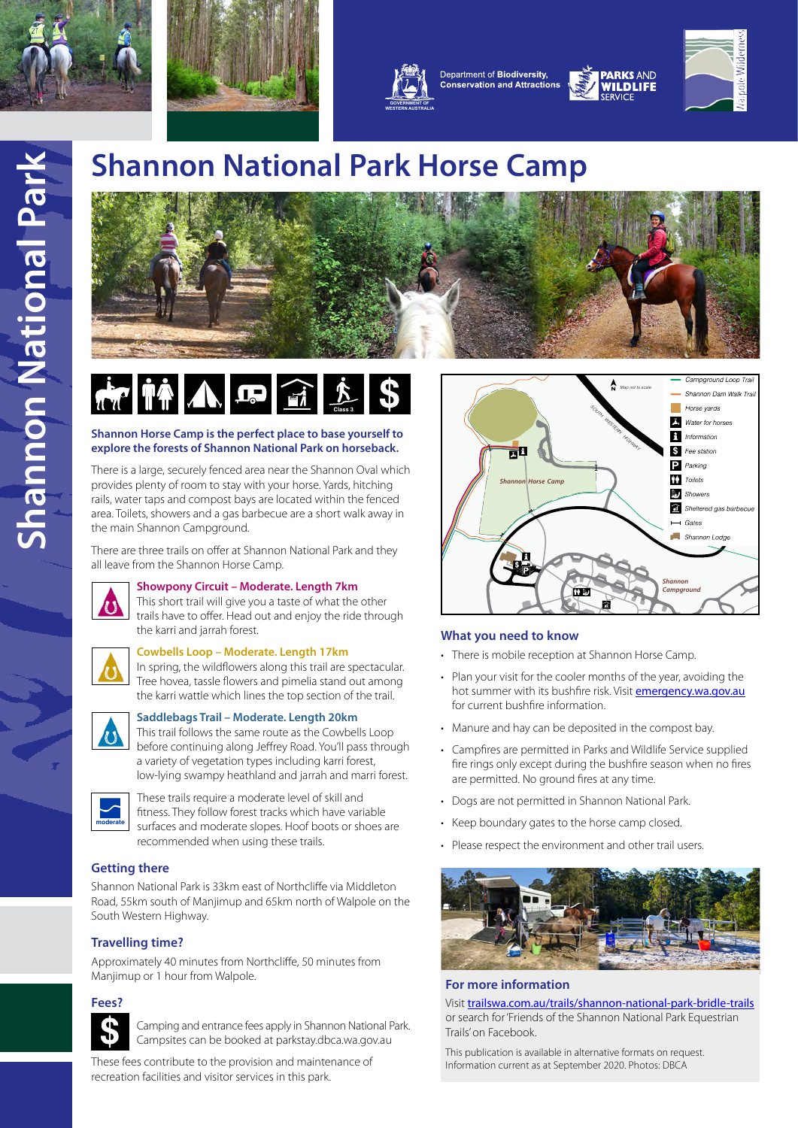





Department of Biodiversity, **Conservation and Attractions** 



PARKS AND

VILDLIFF

## **Shannon National Park Horse Camp**



### $\begin{array}{|c|c|c|c|c|}\hline \mathbf{A} & \mathbf{B} & \mathbf{B} & \mathbf{B} & \mathbf{B} & \mathbf{B} & \mathbf{B} & \mathbf{B} & \mathbf{B} & \mathbf{B} & \mathbf{B} & \mathbf{B} & \mathbf{B} & \mathbf{B} & \mathbf{B} & \mathbf{B} & \mathbf{B} & \mathbf{B} & \mathbf{B} & \mathbf{B} & \mathbf{B} & \mathbf{B} & \mathbf{B} & \mathbf{B} & \mathbf{B} & \mathbf{B} & \mathbf{B} & \mathbf{B} & \mathbf{B$  $f_{\text{Class}}$  \$

#### **Shannon Horse Camp is the perfect place to base yourself to explore the forests of Shannon National Park on horseback.**

There is a large, securely fenced area near the Shannon Oval which provides plenty of room to stay with your horse. Yards, hitching rails, water taps and compost bays are located within the fenced area. Toilets, showers and a gas barbecue are a short walk away in the main Shannon Campground.

There are three trails on offer at Shannon National Park and they all leave from the Shannon Horse Camp.



#### **Showpony Circuit – Moderate. Length 7km**

This short trail will give you a taste of what the other trails have to offer. Head out and enjoy the ride through the karri and jarrah forest.



#### **Cowbells Loop – Moderate. Length 17km**

In spring, the wildflowers along this trail are spectacular. Tree hovea, tassle flowers and pimelia stand out among the karri wattle which lines the top section of the trail.



#### **Saddlebags Trail – Moderate. Length 20km**

This trail follows the same route as the Cowbells Loop before continuing along Jeffrey Road. You'll pass through a variety of vegetation types including karri forest, low-lying swampy heathland and jarrah and marri forest.



These trails require a moderate level of skill and fitness. They follow forest tracks which have variable surfaces and moderate slopes. Hoof boots or shoes are recommended when using these trails.

#### **Getting there**

Shannon National Park is 33km east of Northcliffe via Middleton Road, 55km south of Manjimup and 65km north of Walpole on the South Western Highway.

#### **Travelling time?**

Approximately 40 minutes from Northcliffe, 50 minutes from Manjimup or 1 hour from Walpole.

#### **Fees?**



Camping and entrance fees apply in Shannon National Park. Campsites can be booked at parkstay.dbca.wa.gov.au

These fees contribute to the provision and maintenance of recreation facilities and visitor services in this park.



#### **What you need to know**

- There is mobile reception at Shannon Horse Camp.
- Plan your visit for the cooler months of the year, avoiding the hot summer with its bushfire risk. Visit **[emergency.wa.gov.au](http://www.emergency.wa.gov.au)** for current bushfire information.
- Manure and hay can be deposited in the compost bay.
- Campfires are permitted in Parks and Wildlife Service supplied fire rings only except during the bushfire season when no fires are permitted. No ground fires at any time.
- Dogs are not permitted in Shannon National Park.
- Keep boundary gates to the horse camp closed.
- Please respect the environment and other trail users.



#### **For more information**

Visit [trailswa.com.au/trails/shannon-national-park-bridle-trails](http://trailswa.com.au/trails/shannon-national-park-bridle-trails) or search for 'Friends of the Shannon National Park Equestrian Trails' on Facebook.

This publication is available in alternative formats on request. Information current as at September 2020. Photos: DBCA